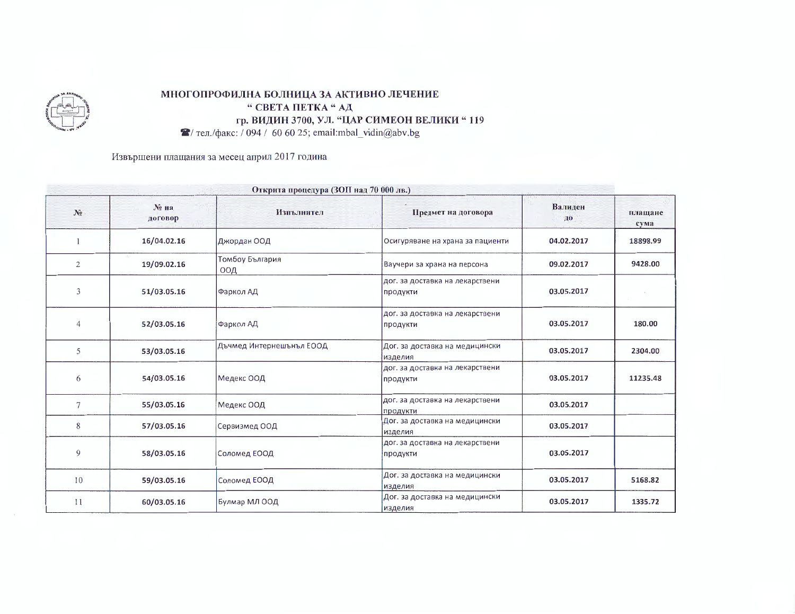

## МНОГОПРОФИЛНА БОЛНИЦА ЗА АКТИВНО ЛЕЧЕНИЕ " СВЕТА ПЕТКА "АД гр. ВИДИН 3700, УЛ. "ЦАР СИМЕОН ВЕЛИКИ "119

 $\blacktriangleright$  тел./факс: / 094 / 60 60 25; email:mbal\_vidin@abv.bg

Извършени плащания за месец април 2017 година

| Открита процедура (ЗОП над 70 000 лв.) |                  |                          |                                             |               |                 |
|----------------------------------------|------------------|--------------------------|---------------------------------------------|---------------|-----------------|
| $N_2$                                  | No Ha<br>договор | Изпълнител               | Предмет на договора                         | Валиден<br>ДО | плащане<br>сума |
|                                        | 16/04.02.16      | Джордан ООД              | Осигуряване на храна за пациенти            | 04.02.2017    | 18898.99        |
| 2                                      | 19/09.02.16      | Томбоу България<br>ООД   | Ваучери за храна на персона                 | 09.02.2017    | 9428.00         |
| 3                                      | 51/03.05.16      | Фаркол АД                | дог. за доставка на лекарствени<br>продукти | 03.05.2017    |                 |
| $\overline{4}$                         | 52/03.05.16      | Фаркол АД                | дог. за доставка на лекарствени<br>продукти | 03.05.2017    | 180.00          |
| 5                                      | 53/03.05.16      | Дъчмед Интернешънъл ЕООД | Дог. за доставка на медицински<br>изделия   | 03.05.2017    | 2304.00         |
| 6                                      | 54/03.05.16      | Медекс ООД               | дог. за доставка на лекарствени<br>продукти | 03.05.2017    | 11235.48        |
| 7                                      | 55/03.05.16      | Медекс ООД               | дог. за доставка на лекарствени<br>продукти | 03.05.2017    |                 |
| 8                                      | 57/03.05.16      | Сервизмед ООД            | Дог. за доставка на медицински<br>изделия   | 03.05.2017    |                 |
| 9                                      | 58/03.05.16      | Соломед ЕООД             | дог. за доставка на лекарствени<br>продукти | 03.05.2017    |                 |
| 10                                     | 59/03.05.16      | Соломед ЕООД             | Дог. за доставка на медицински<br>изделия   | 03.05.2017    | 5168.82         |
| 11                                     | 60/03.05.16      | Булмар МЛ ООД            | Дог. за доставка на медицински<br>изделия   | 03.05.2017    | 1335.72         |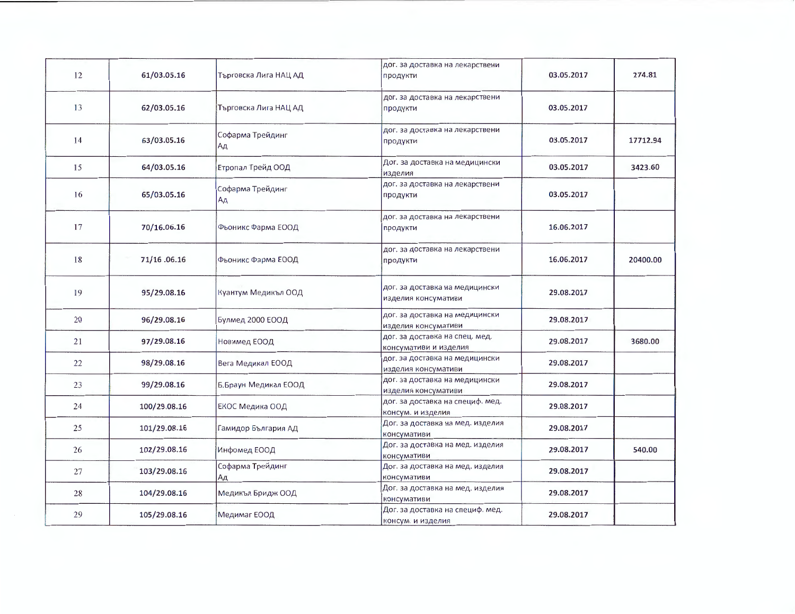| 12 | 61/03.05.16  | Търговска Лига НАЦ АД  | дог. за доставка на лекарствени<br>продукти             | 03.05.2017 | 274.81   |
|----|--------------|------------------------|---------------------------------------------------------|------------|----------|
| 13 | 62/03.05.16  | Търговска Лига НАЦ АД  | дог. за доставка на лекарствени<br>продукти             | 03.05.2017 |          |
| 14 | 63/03.05.16  | Софарма Трейдинг<br>Ад | дог. за доставка на лекарствени<br>продукти             | 03.05.2017 | 17712.94 |
| 15 | 64/03.05.16  | Етропал Трейд ООД      | Дог. за доставка на медицински<br>изделия               | 03.05.2017 | 3423.60  |
| 16 | 65/03.05.16  | Софарма Трейдинг<br>Ад | дог. за доставка на лекарствени<br>продукти             | 03.05.2017 |          |
| 17 | 70/16.06.16  | Фьоникс Фарма ЕООД     | дог. за доставка на лекарствени<br>продукти             | 16.06.2017 |          |
| 18 | 71/16.06.16  | Фьоникс Фарма ЕООД     | дог. за доставка на лекарствени<br>продукти             | 16.06.2017 | 20400.00 |
| 19 | 95/29.08.16  | Куантум Медикъл ООД    | дог. за доставка на медицински<br>изделия консумативи   | 29.08.2017 |          |
| 20 | 96/29.08.16  | Булмед 2000 ЕООД       | дог. за доставка на медицински<br>изделия консумативи   | 29.08.2017 |          |
| 21 | 97/29.08.16  | Новимед ЕООД           | дог. за доставка на спец. мед.<br>консумативи и изделия | 29.08.2017 | 3680.00  |
| 22 | 98/29.08.16  | Вега Медикал ЕООД      | дог. за доставка на медицински<br>изделия консумативи   | 29.08.2017 |          |
| 23 | 99/29.08.16  | Б.Браун Медикал ЕООД   | дог. за доставка на медицински<br>изделия консумативи   | 29.08.2017 |          |
| 24 | 100/29.08.16 | ЕКОС Медика ООД        | дог. за доставка на специф. мед.<br>консум. и изделия   | 29.08.2017 |          |
| 25 | 101/29.08.16 | Гамидор България АД    | Дог. за доставка на мед. изделия<br>консумативи         | 29.08.2017 |          |
| 26 | 102/29.08.16 | Инфомед ЕООД           | Дог. за доставка на мед. изделия<br>консумативи         | 29.08.2017 | 540.00   |
| 27 | 103/29.08.16 | Софарма Трейдинг<br>Ад | Дог. за доставка на мед. изделия<br>консумативи         | 29.08.2017 |          |
| 28 | 104/29.08.16 | Медикъл Бридж ООД      | Дог. за доставка на мед. изделия<br>консумативи         | 29.08.2017 |          |
| 29 | 105/29.08.16 | Медимаг ЕООД           | Дог. за доставка на специф. мед.<br>консум. и изделия   | 29.08.2017 |          |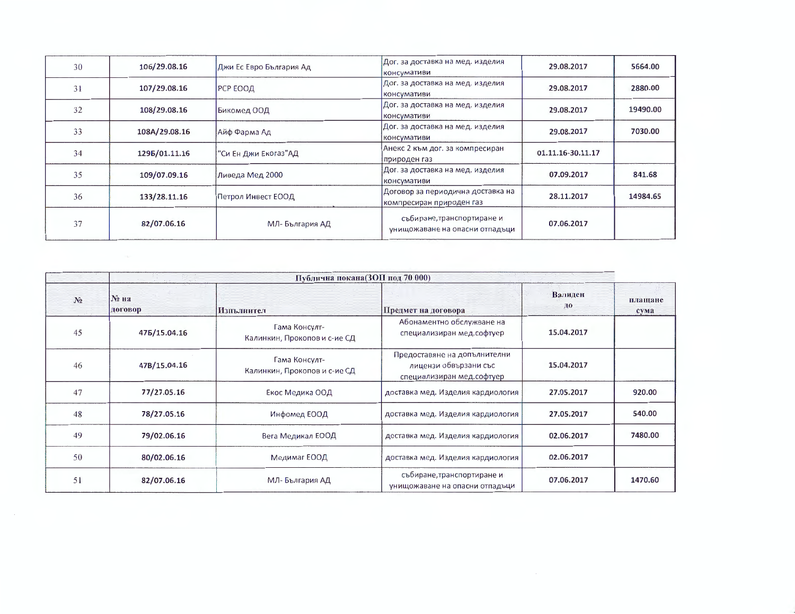| 30 | 106/29.08.16  | Джи Ес Евро България Ад | Дог. за доставка на мед. изделия<br>консумативи                | 29.08.2017        | 5664.00  |
|----|---------------|-------------------------|----------------------------------------------------------------|-------------------|----------|
| 31 | 107/29.08.16  | РСР ЕООД                | Дог. за доставка на мед. изделия<br>консумативи                | 29.08.2017        | 2880.00  |
| 32 | 108/29.08.16  | Бикомед ООД             | Дог. за доставка на мед. изделия<br>консумативи                | 29.08.2017        | 19490.00 |
| 33 | 108A/29.08.16 | Айф Фарма Ад            | Дог. за доставка на мед. изделия<br>консумативи                | 29.08.2017        | 7030.00  |
| 34 | 1295/01.11.16 | "Си Ен Джи Екогаз"АД    | Анекс 2 към дог. за компресиран<br> природен газ               | 01.11.16-30.11.17 |          |
| 35 | 109/07.09.16  | Ливеда Мед 2000         | Дог. за доставка на мед. изделия<br>консумативи                | 07.09.2017        | 841.68   |
| 36 | 133/28.11.16  | Петрол Инвест ЕООД      | Договор за периодична доставка на<br> компресиран природен газ | 28.11.2017        | 14984.65 |
| 37 | 82/07.06.16   | МЛ-България АД          | събиране, транспортиране и<br>унищожаване на опасни отпадъци   | 07.06.2017        |          |

|                | Публична покана(ЗОП под 70 000) |                                               |                                                                                    |               |                 |  |
|----------------|---------------------------------|-----------------------------------------------|------------------------------------------------------------------------------------|---------------|-----------------|--|
| N <sub>2</sub> | № на<br>договор                 | Изпълнител                                    | Предмет на договора                                                                | Валиден<br>до | плащане<br>сума |  |
| 45             | 475/15.04.16                    | Гама Консулт-<br>Калинкин, Прокопов и с-ие СД | Абонаментно обслужване на<br>специализиран мед.софтуер                             | 15.04.2017    |                 |  |
| 46             | 47B/15.04.16                    | Гама Консулт-<br>Калинкин, Прокопов и с-ие СД | Предоставяне на допълнителни<br>лицензи обвързани със<br>специализиран мед.софтуер | 15.04.2017    |                 |  |
| 47             | 77/27.05.16                     | Екос Медика ООД                               | доставка мед. Изделия кардиология                                                  | 27.05.2017    | 920.00          |  |
| 48             | 78/27.05.16                     | Инфомед ЕООД                                  | доставка мед. Изделия кардиология                                                  | 27.05.2017    | 540.00          |  |
| 49             | 79/02.06.16                     | Вега Медикал ЕООД                             | доставка мед. Изделия кардиология                                                  | 02.06.2017    | 7480.00         |  |
| 50             | 80/02.06.16                     | Медимаг ЕООД                                  | доставка мед. Изделия кардиология                                                  | 02.06.2017    |                 |  |
| 51             | 82/07.06.16                     | МЛ-България АД                                | събиране, транспортиране и<br>унищожаване на опасни отпадъци                       | 07.06.2017    | 1470.60         |  |